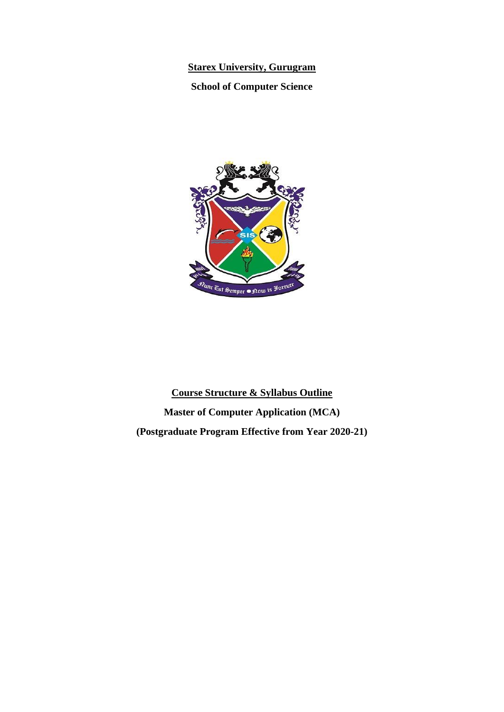### **Starex University, Gurugram**

**School of Computer Science**



**Course Structure & Syllabus Outline Master of Computer Application (MCA) (Postgraduate Program Effective from Year 2020-21)**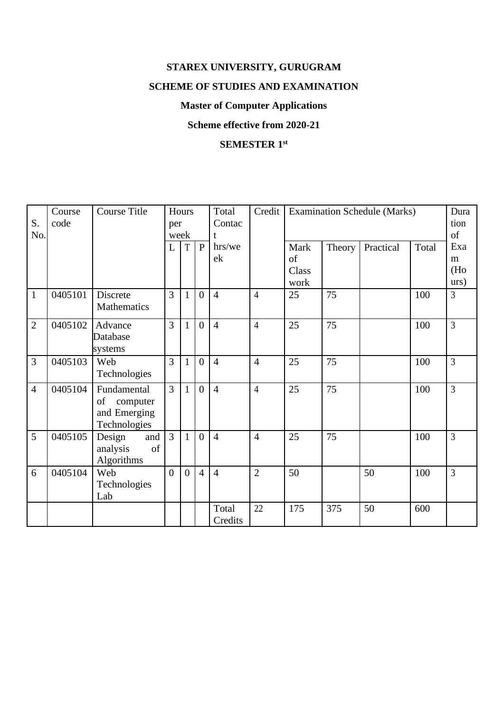# **STAREX UNIVERSITY, GURUGRAM**

## **SCHEME OF STUDIES AND EXAMINATION**

# **Master of Computer Applications**

# **Scheme effective from 2020-21**

# **SEMESTER 1st**

| S.<br>No.      | Course<br>code | <b>Course Title</b>                                           |                | Hours<br>per<br>week |                  | Total<br>Contac<br>t. | Credit         |                             | <b>Examination Schedule (Marks)</b> |           |       | Dura<br>tion<br>of      |
|----------------|----------------|---------------------------------------------------------------|----------------|----------------------|------------------|-----------------------|----------------|-----------------------------|-------------------------------------|-----------|-------|-------------------------|
|                |                |                                                               | L              | T                    | $\mathbf{P}$     | hrs/we<br>ek          |                | Mark<br>of<br>Class<br>work | Theory                              | Practical | Total | Exa<br>m<br>(Ho<br>urs) |
| $\mathbf{1}$   | 0405101        | Discrete<br>Mathematics                                       | 3              | $\mathbf{1}$         | $\overline{0}$   | $\overline{4}$        | $\overline{4}$ | 25                          | 75                                  |           | 100   | 3                       |
| $\overline{2}$ | 0405102        | Advance<br>Database<br>systems                                | 3              | $\mathbf{1}$         | $\overline{0}$   | $\overline{4}$        | $\overline{4}$ | 25                          | 75                                  |           | 100   | 3                       |
| 3              | 0405103        | Web<br>Technologies                                           | $\overline{3}$ | $\mathbf{1}$         | $\boldsymbol{0}$ | $\overline{4}$        | $\overline{4}$ | 25                          | 75                                  |           | 100   | 3                       |
| $\overline{4}$ | 0405104        | Fundamental<br>computer<br>of<br>and Emerging<br>Technologies | $\overline{3}$ | $\mathbf{1}$         | $\overline{0}$   | $\overline{4}$        | $\overline{4}$ | 25                          | 75                                  |           | 100   | 3                       |
| 5              | 0405105        | Design<br>and<br>analysis<br>of<br>Algorithms                 | $\overline{3}$ | $\mathbf{1}$         | $\overline{0}$   | $\overline{4}$        | $\overline{4}$ | 25                          | 75                                  |           | 100   | $\overline{3}$          |
| 6              | 0405104        | Web<br>Technologies<br>Lab                                    | $\overline{0}$ | $\overline{0}$       | $\overline{4}$   | $\overline{4}$        | $\overline{2}$ | 50                          |                                     | 50        | 100   | $\overline{3}$          |
|                |                |                                                               |                |                      |                  | Total<br>Credits      | 22             | 175                         | 375                                 | 50        | 600   |                         |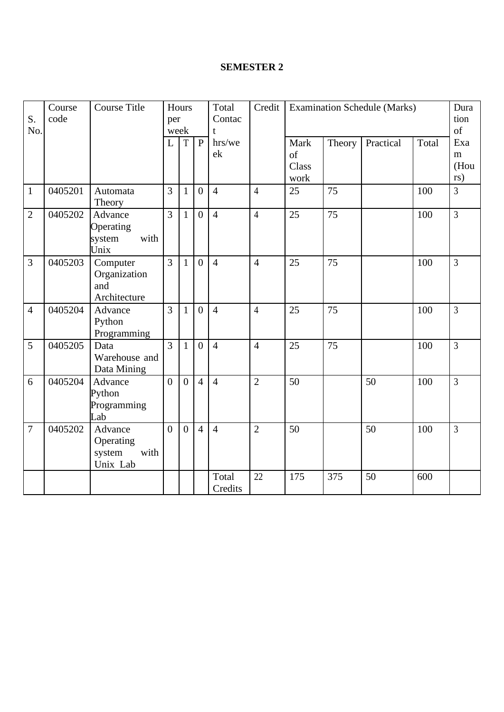### **SEMESTER 2**

| S.<br>No.      | Course<br>code | <b>Course Title</b>                                | per            | Hours<br>week  |                | Total<br>Contac<br>t | Credit         |                             |        | <b>Examination Schedule (Marks)</b> |       | Dura<br>tion<br>of      |
|----------------|----------------|----------------------------------------------------|----------------|----------------|----------------|----------------------|----------------|-----------------------------|--------|-------------------------------------|-------|-------------------------|
|                |                |                                                    | $\mathbf{L}$   | T              | $\mathbf{P}$   | hrs/we<br>ek         |                | Mark<br>of<br>Class<br>work | Theory | Practical                           | Total | Exa<br>m<br>(Hou<br>rs) |
| $\mathbf{1}$   | 0405201        | Automata<br>Theory                                 | 3              | $\mathbf{1}$   | $\overline{0}$ | $\overline{4}$       | $\overline{4}$ | 25                          | 75     |                                     | 100   | $\overline{3}$          |
| $\overline{2}$ | 0405202        | Advance<br>Operating<br>system<br>with<br>Unix     | $\overline{3}$ | $\mathbf{1}$   | $\overline{0}$ | $\overline{4}$       | $\overline{4}$ | 25                          | 75     |                                     | 100   | $\overline{3}$          |
| 3              | 0405203        | Computer<br>Organization<br>and<br>Architecture    | $\overline{3}$ | $\mathbf{1}$   | $\overline{0}$ | $\overline{4}$       | $\overline{4}$ | 25                          | 75     |                                     | 100   | $\overline{3}$          |
| $\overline{4}$ | 0405204        | Advance<br>Python<br>Programming                   | 3              | $\mathbf{1}$   | $\overline{0}$ | $\overline{4}$       | $\overline{4}$ | 25                          | 75     |                                     | 100   | $\overline{3}$          |
| 5              | 0405205        | Data<br>Warehouse and<br>Data Mining               | $\overline{3}$ | $\mathbf{1}$   | $\overline{0}$ | $\overline{4}$       | $\overline{4}$ | 25                          | 75     |                                     | 100   | $\overline{3}$          |
| 6              | 0405204        | Advance<br>Python<br>Programming<br>Lab            | $\overline{0}$ | $\overline{0}$ | $\overline{4}$ | $\overline{4}$       | $\overline{2}$ | 50                          |        | 50                                  | 100   | $\overline{3}$          |
| 7              | 0405202        | Advance<br>Operating<br>system<br>with<br>Unix Lab | $\overline{0}$ | $\overline{0}$ | $\overline{4}$ | $\overline{4}$       | $\overline{2}$ | 50                          |        | 50                                  | 100   | $\overline{3}$          |
|                |                |                                                    |                |                |                | Total<br>Credits     | 22             | 175                         | 375    | 50                                  | 600   |                         |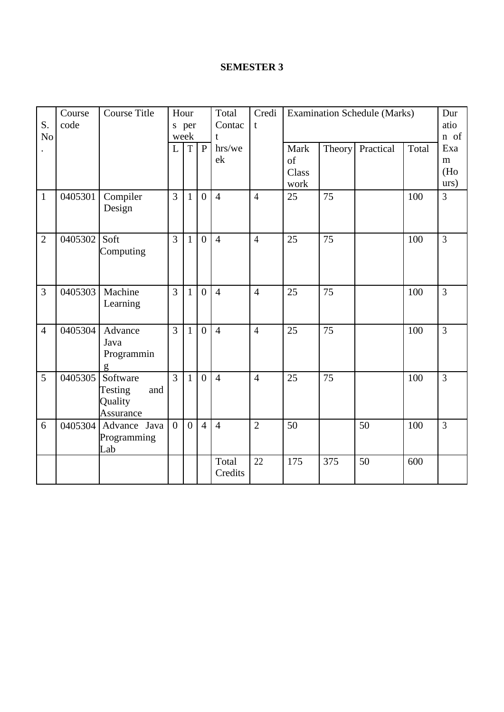### **SEMESTER 3**

| S.<br>N <sub>o</sub> | Course<br>code | <b>Course Title</b>                                |                | Hour<br>s per<br>week |                | Total<br>Contac<br>t | Credi<br>t     |                             |        | <b>Examination Schedule (Marks)</b> |       | Dur<br>atio<br>n of     |
|----------------------|----------------|----------------------------------------------------|----------------|-----------------------|----------------|----------------------|----------------|-----------------------------|--------|-------------------------------------|-------|-------------------------|
|                      |                |                                                    | $\mathbf{L}$   | T                     | $\mathbf{P}$   | hrs/we<br>ek         |                | Mark<br>of<br>Class<br>work | Theory | Practical                           | Total | Exa<br>m<br>(Ho<br>urs) |
| $\mathbf{1}$         | 0405301        | Compiler<br>Design                                 | $\overline{3}$ | $\mathbf{1}$          | $\overline{0}$ | $\overline{4}$       | $\overline{4}$ | 25                          | 75     |                                     | 100   | $\overline{3}$          |
| $\overline{2}$       | 0405302        | Soft<br>Computing                                  | $\overline{3}$ | $\mathbf{1}$          | $\overline{0}$ | $\overline{4}$       | $\overline{4}$ | 25                          | 75     |                                     | 100   | $\overline{3}$          |
| $\overline{3}$       | 0405303        | Machine<br>Learning                                | $\overline{3}$ | $\mathbf{1}$          | $\overline{0}$ | $\overline{4}$       | $\overline{4}$ | 25                          | 75     |                                     | 100   | $\overline{3}$          |
| $\overline{4}$       | 0405304        | Advance<br>Java<br>Programmin<br>g                 | $\overline{3}$ | $\mathbf{1}$          | $\overline{0}$ | $\overline{4}$       | $\overline{4}$ | 25                          | 75     |                                     | 100   | $\overline{3}$          |
| 5                    | 0405305        | Software<br>Testing<br>and<br>Quality<br>Assurance | $\overline{3}$ | $\mathbf{1}$          | $\overline{0}$ | $\overline{4}$       | $\overline{4}$ | 25                          | 75     |                                     | 100   | $\overline{3}$          |
| 6                    | 0405304        | Advance Java<br>Programming<br>Lab                 | $\overline{0}$ | $\overline{0}$        | $\overline{4}$ | $\overline{4}$       | $\overline{2}$ | 50                          |        | 50                                  | 100   | $\overline{3}$          |
|                      |                |                                                    |                |                       |                | Total<br>Credits     | 22             | 175                         | 375    | 50                                  | 600   |                         |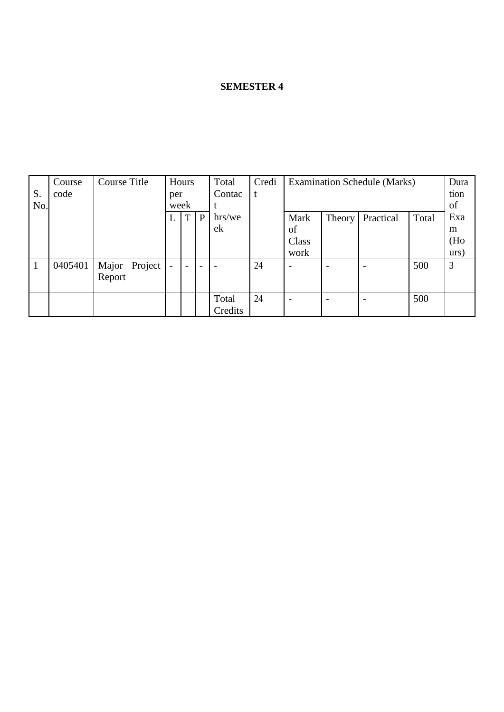### **SEMESTER 4**

| S.<br>No. | Course<br>code | Course Title            |        | Hours<br>per<br>week     |              | Total<br>Contac  | Credi<br>t |                             |        | <b>Examination Schedule (Marks)</b> |       | Dura<br>tion<br>of      |
|-----------|----------------|-------------------------|--------|--------------------------|--------------|------------------|------------|-----------------------------|--------|-------------------------------------|-------|-------------------------|
|           |                |                         |        | $\mathbf T$              | $\mathbf{P}$ | hrs/we<br>ek     |            | Mark<br>of<br>Class<br>work | Theory | Practical                           | Total | Exa<br>m<br>(Ho<br>urs) |
|           | 0405401        | Major Project<br>Report | $\sim$ | $\overline{\phantom{0}}$ |              |                  | 24         |                             |        |                                     | 500   | 3                       |
|           |                |                         |        |                          |              | Total<br>Credits | 24         |                             |        |                                     | 500   |                         |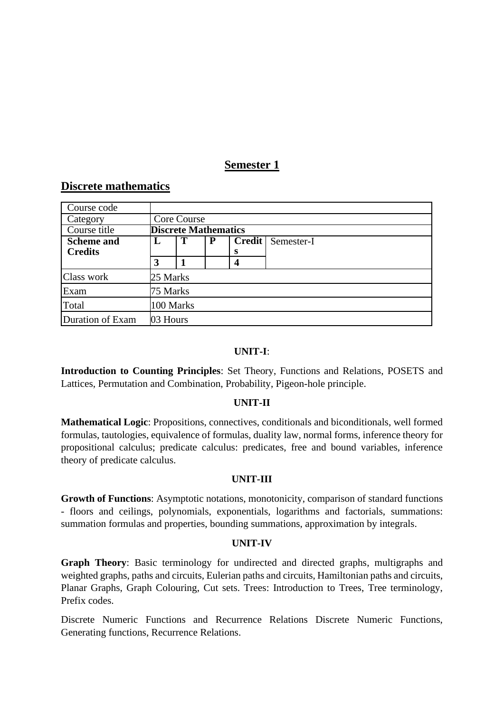## **Semester 1**

### **Discrete mathematics**

| Course code       |                             |             |   |        |            |  |  |  |  |  |  |  |
|-------------------|-----------------------------|-------------|---|--------|------------|--|--|--|--|--|--|--|
| Category          |                             | Core Course |   |        |            |  |  |  |  |  |  |  |
| Course title      | <b>Discrete Mathematics</b> |             |   |        |            |  |  |  |  |  |  |  |
| <b>Scheme and</b> | L                           |             | P | Credit | Semester-I |  |  |  |  |  |  |  |
| <b>Credits</b>    |                             |             |   | s      |            |  |  |  |  |  |  |  |
|                   | 3                           |             |   |        |            |  |  |  |  |  |  |  |
| Class work        | 25 Marks                    |             |   |        |            |  |  |  |  |  |  |  |
| Exam              | 75 Marks                    |             |   |        |            |  |  |  |  |  |  |  |
| Total             | 100 Marks                   |             |   |        |            |  |  |  |  |  |  |  |
| Duration of Exam  | 03 Hours                    |             |   |        |            |  |  |  |  |  |  |  |

#### **UNIT-I**:

**Introduction to Counting Principles**: Set Theory, Functions and Relations, POSETS and Lattices, Permutation and Combination, Probability, Pigeon-hole principle.

#### **UNIT-II**

**Mathematical Logic**: Propositions, connectives, conditionals and biconditionals, well formed formulas, tautologies, equivalence of formulas, duality law, normal forms, inference theory for propositional calculus; predicate calculus: predicates, free and bound variables, inference theory of predicate calculus.

#### **UNIT-III**

**Growth of Functions**: Asymptotic notations, monotonicity, comparison of standard functions - floors and ceilings, polynomials, exponentials, logarithms and factorials, summations: summation formulas and properties, bounding summations, approximation by integrals.

#### **UNIT-IV**

**Graph Theory**: Basic terminology for undirected and directed graphs, multigraphs and weighted graphs, paths and circuits, Eulerian paths and circuits, Hamiltonian paths and circuits, Planar Graphs, Graph Colouring, Cut sets. Trees: Introduction to Trees, Tree terminology, Prefix codes.

Discrete Numeric Functions and Recurrence Relations Discrete Numeric Functions, Generating functions, Recurrence Relations.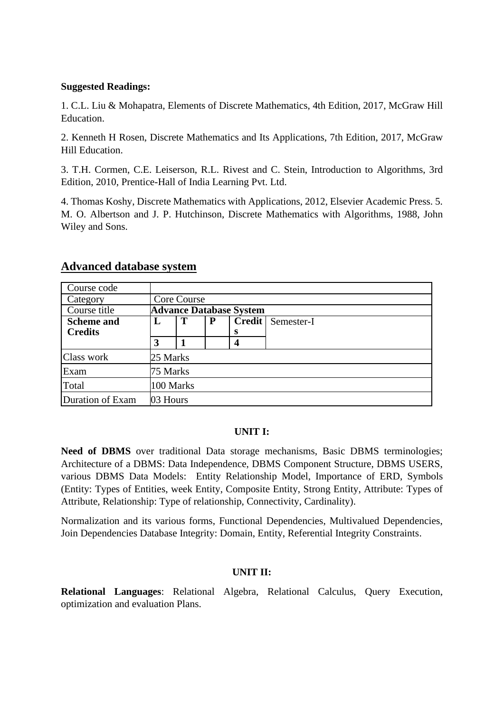### **Suggested Readings:**

1. C.L. Liu & Mohapatra, Elements of Discrete Mathematics, 4th Edition, 2017, McGraw Hill Education.

2. Kenneth H Rosen, Discrete Mathematics and Its Applications, 7th Edition, 2017, McGraw Hill Education.

3. T.H. Cormen, C.E. Leiserson, R.L. Rivest and C. Stein, Introduction to Algorithms, 3rd Edition, 2010, Prentice-Hall of India Learning Pvt. Ltd.

4. Thomas Koshy, Discrete Mathematics with Applications, 2012, Elsevier Academic Press. 5. M. O. Albertson and J. P. Hutchinson, Discrete Mathematics with Algorithms, 1988, John Wiley and Sons.

# **Advanced database system**

| Course code       |             |   |   |                                |            |  |  |  |  |  |  |
|-------------------|-------------|---|---|--------------------------------|------------|--|--|--|--|--|--|
| Category          | Core Course |   |   |                                |            |  |  |  |  |  |  |
| Course title      |             |   |   | <b>Advance Database System</b> |            |  |  |  |  |  |  |
| <b>Scheme and</b> | L           | T | P | <b>Credit</b>                  | Semester-I |  |  |  |  |  |  |
| <b>Credits</b>    |             |   |   | s                              |            |  |  |  |  |  |  |
|                   | 3           |   |   |                                |            |  |  |  |  |  |  |
| Class work        | 25 Marks    |   |   |                                |            |  |  |  |  |  |  |
| Exam              | 75 Marks    |   |   |                                |            |  |  |  |  |  |  |
| Total             | 100 Marks   |   |   |                                |            |  |  |  |  |  |  |
| Duration of Exam  | 03 Hours    |   |   |                                |            |  |  |  |  |  |  |

### **UNIT I:**

**Need of DBMS** over traditional Data storage mechanisms, Basic DBMS terminologies; Architecture of a DBMS: Data Independence, DBMS Component Structure, DBMS USERS, various DBMS Data Models: Entity Relationship Model, Importance of ERD, Symbols (Entity: Types of Entities, week Entity, Composite Entity, Strong Entity, Attribute: Types of Attribute, Relationship: Type of relationship, Connectivity, Cardinality).

Normalization and its various forms, Functional Dependencies, Multivalued Dependencies, Join Dependencies Database Integrity: Domain, Entity, Referential Integrity Constraints.

# **UNIT II:**

**Relational Languages**: Relational Algebra, Relational Calculus, Query Execution, optimization and evaluation Plans.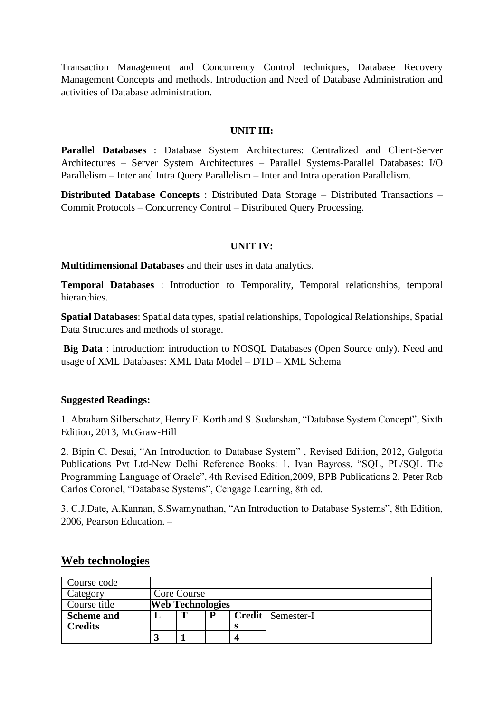Transaction Management and Concurrency Control techniques, Database Recovery Management Concepts and methods. Introduction and Need of Database Administration and activities of Database administration.

### **UNIT III:**

**Parallel Databases** : Database System Architectures: Centralized and Client-Server Architectures – Server System Architectures – Parallel Systems-Parallel Databases: I/O Parallelism – Inter and Intra Query Parallelism – Inter and Intra operation Parallelism.

**Distributed Database Concepts** : Distributed Data Storage – Distributed Transactions – Commit Protocols – Concurrency Control – Distributed Query Processing.

### **UNIT IV:**

**Multidimensional Databases** and their uses in data analytics.

**Temporal Databases** : Introduction to Temporality, Temporal relationships, temporal hierarchies.

**Spatial Databases**: Spatial data types, spatial relationships, Topological Relationships, Spatial Data Structures and methods of storage.

**Big Data** : introduction: introduction to NOSQL Databases (Open Source only). Need and usage of XML Databases: XML Data Model – DTD – XML Schema

#### **Suggested Readings:**

1. Abraham Silberschatz, Henry F. Korth and S. Sudarshan, "Database System Concept", Sixth Edition, 2013, McGraw-Hill

2. Bipin C. Desai, "An Introduction to Database System" , Revised Edition, 2012, Galgotia Publications Pvt Ltd-New Delhi Reference Books: 1. Ivan Bayross, "SQL, PL/SQL The Programming Language of Oracle", 4th Revised Edition,2009, BPB Publications 2. Peter Rob Carlos Coronel, "Database Systems", Cengage Learning, 8th ed.

3. C.J.Date, A.Kannan, S.Swamynathan, "An Introduction to Database Systems", 8th Edition, 2006, Pearson Education. –

| Course code       |   |                         |   |    |                     |  |  |  |  |  |
|-------------------|---|-------------------------|---|----|---------------------|--|--|--|--|--|
| Category          |   | Core Course             |   |    |                     |  |  |  |  |  |
| Course title      |   | <b>Web Technologies</b> |   |    |                     |  |  |  |  |  |
| <b>Scheme and</b> | L | m                       | P |    | Credit   Semester-I |  |  |  |  |  |
| <b>Credits</b>    |   |                         |   | D. |                     |  |  |  |  |  |
|                   |   |                         |   |    |                     |  |  |  |  |  |

# **Web technologies**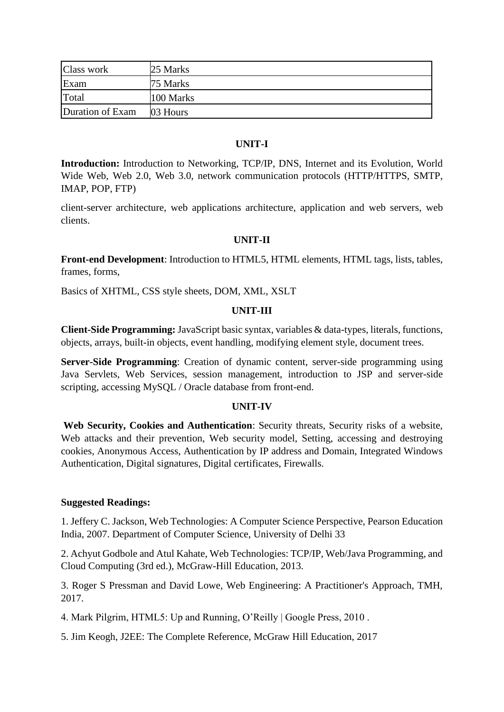| Class work       | 25 Marks  |
|------------------|-----------|
| Exam             | 75 Marks  |
| Total            | 100 Marks |
| Duration of Exam | 03 Hours  |

### **UNIT-I**

**Introduction:** Introduction to Networking, TCP/IP, DNS, Internet and its Evolution, World Wide Web, Web 2.0, Web 3.0, network communication protocols (HTTP/HTTPS, SMTP, IMAP, POP, FTP)

client-server architecture, web applications architecture, application and web servers, web clients.

### **UNIT-II**

**Front-end Development**: Introduction to HTML5, HTML elements, HTML tags, lists, tables, frames, forms,

Basics of XHTML, CSS style sheets, DOM, XML, XSLT

#### **UNIT-III**

**Client-Side Programming:**JavaScript basic syntax, variables & data-types, literals, functions, objects, arrays, built-in objects, event handling, modifying element style, document trees.

**Server-Side Programming**: Creation of dynamic content, server-side programming using Java Servlets, Web Services, session management, introduction to JSP and server-side scripting, accessing MySQL / Oracle database from front-end.

#### **UNIT-IV**

**Web Security, Cookies and Authentication**: Security threats, Security risks of a website, Web attacks and their prevention, Web security model, Setting, accessing and destroying cookies, Anonymous Access, Authentication by IP address and Domain, Integrated Windows Authentication, Digital signatures, Digital certificates, Firewalls.

#### **Suggested Readings:**

1. Jeffery C. Jackson, Web Technologies: A Computer Science Perspective, Pearson Education India, 2007. Department of Computer Science, University of Delhi 33

2. Achyut Godbole and Atul Kahate, Web Technologies: TCP/IP, Web/Java Programming, and Cloud Computing (3rd ed.), McGraw-Hill Education, 2013.

3. Roger S Pressman and David Lowe, Web Engineering: A Practitioner's Approach, TMH, 2017.

4. Mark Pilgrim, HTML5: Up and Running, O'Reilly | Google Press, 2010 .

5. Jim Keogh, J2EE: The Complete Reference, McGraw Hill Education, 2017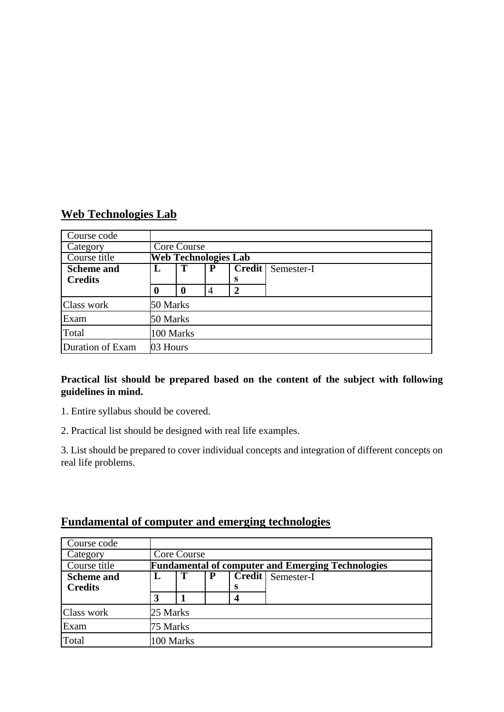# **Web Technologies Lab**

| Course code       |                                         |                       |                             |   |  |  |  |  |  |  |  |
|-------------------|-----------------------------------------|-----------------------|-----------------------------|---|--|--|--|--|--|--|--|
| Category          |                                         | Core Course           |                             |   |  |  |  |  |  |  |  |
| Course title      |                                         |                       | <b>Web Technologies Lab</b> |   |  |  |  |  |  |  |  |
| <b>Scheme and</b> | <b>Credit</b> Semester-I<br>Т<br>P<br>L |                       |                             |   |  |  |  |  |  |  |  |
| <b>Credits</b>    |                                         |                       |                             | s |  |  |  |  |  |  |  |
|                   |                                         | $\mathbf 0$<br>2<br>4 |                             |   |  |  |  |  |  |  |  |
| Class work        | 50 Marks                                |                       |                             |   |  |  |  |  |  |  |  |
| Exam              | 50 Marks                                |                       |                             |   |  |  |  |  |  |  |  |
| Total             |                                         | 100 Marks             |                             |   |  |  |  |  |  |  |  |
| Duration of Exam  | 03 Hours                                |                       |                             |   |  |  |  |  |  |  |  |

## **Practical list should be prepared based on the content of the subject with following guidelines in mind.**

- 1. Entire syllabus should be covered.
- 2. Practical list should be designed with real life examples.

3. List should be prepared to cover individual concepts and integration of different concepts on real life problems.

# **Fundamental of computer and emerging technologies**

| Course code       |           |             |   |   |                                                          |  |  |  |  |  |  |
|-------------------|-----------|-------------|---|---|----------------------------------------------------------|--|--|--|--|--|--|
| Category          |           | Core Course |   |   |                                                          |  |  |  |  |  |  |
| Course title      |           |             |   |   | <b>Fundamental of computer and Emerging Technologies</b> |  |  |  |  |  |  |
| <b>Scheme and</b> | L         | Т           | P |   | Credit Semester-I                                        |  |  |  |  |  |  |
| <b>Credits</b>    |           |             |   | s |                                                          |  |  |  |  |  |  |
|                   | 3         |             |   | 4 |                                                          |  |  |  |  |  |  |
| Class work        | 25 Marks  |             |   |   |                                                          |  |  |  |  |  |  |
| Exam              |           | 75 Marks    |   |   |                                                          |  |  |  |  |  |  |
| Total             | 100 Marks |             |   |   |                                                          |  |  |  |  |  |  |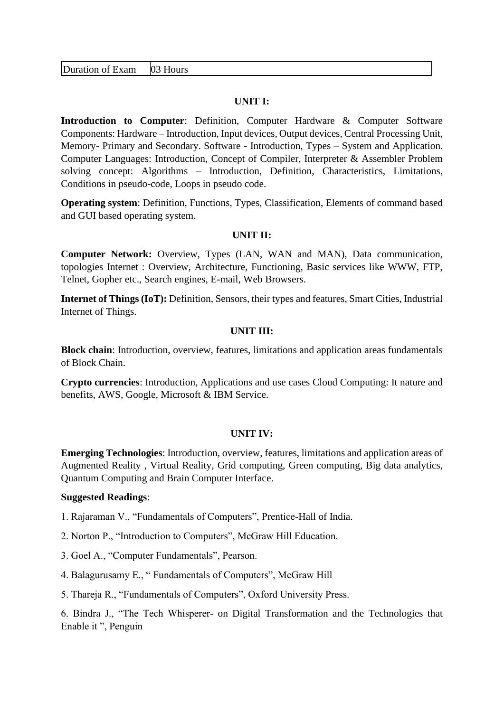### **UNIT I:**

**Introduction to Computer**: Definition, Computer Hardware & Computer Software Components: Hardware – Introduction, Input devices, Output devices, Central Processing Unit, Memory- Primary and Secondary. Software - Introduction, Types – System and Application. Computer Languages: Introduction, Concept of Compiler, Interpreter & Assembler Problem solving concept: Algorithms – Introduction, Definition, Characteristics, Limitations, Conditions in pseudo-code, Loops in pseudo code.

**Operating system**: Definition, Functions, Types, Classification, Elements of command based and GUI based operating system.

#### **UNIT II:**

**Computer Network:** Overview, Types (LAN, WAN and MAN), Data communication, topologies Internet : Overview, Architecture, Functioning, Basic services like WWW, FTP, Telnet, Gopher etc., Search engines, E-mail, Web Browsers.

**Internet of Things (IoT):** Definition, Sensors, their types and features, Smart Cities, Industrial Internet of Things.

#### **UNIT III:**

**Block chain**: Introduction, overview, features, limitations and application areas fundamentals of Block Chain.

**Crypto currencies**: Introduction, Applications and use cases Cloud Computing: It nature and benefits, AWS, Google, Microsoft & IBM Service.

#### **UNIT IV:**

**Emerging Technologies**: Introduction, overview, features, limitations and application areas of Augmented Reality , Virtual Reality, Grid computing, Green computing, Big data analytics, Quantum Computing and Brain Computer Interface.

#### **Suggested Readings**:

- 1. Rajaraman V., "Fundamentals of Computers", Prentice-Hall of India.
- 2. Norton P., "Introduction to Computers", McGraw Hill Education.
- 3. Goel A., "Computer Fundamentals", Pearson.
- 4. Balagurusamy E., " Fundamentals of Computers", McGraw Hill
- 5. Thareja R., "Fundamentals of Computers", Oxford University Press.

6. Bindra J., "The Tech Whisperer- on Digital Transformation and the Technologies that Enable it ", Penguin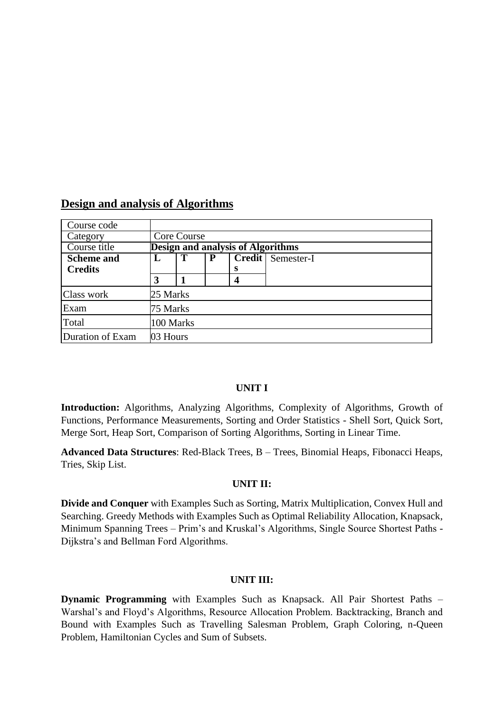# **Design and analysis of Algorithms**

| Course code       |          |             |   |                                   |            |  |  |  |  |  |  |  |
|-------------------|----------|-------------|---|-----------------------------------|------------|--|--|--|--|--|--|--|
| Category          |          | Core Course |   |                                   |            |  |  |  |  |  |  |  |
| Course title      |          |             |   | Design and analysis of Algorithms |            |  |  |  |  |  |  |  |
| <b>Scheme and</b> | L        | Т           | P | Credit                            | Semester-I |  |  |  |  |  |  |  |
| <b>Credits</b>    |          |             |   | s                                 |            |  |  |  |  |  |  |  |
|                   | 3        |             |   | $\boldsymbol{4}$                  |            |  |  |  |  |  |  |  |
| Class work        | 25 Marks |             |   |                                   |            |  |  |  |  |  |  |  |
| Exam              | 75 Marks |             |   |                                   |            |  |  |  |  |  |  |  |
| Total             |          | 100 Marks   |   |                                   |            |  |  |  |  |  |  |  |
| Duration of Exam  | 03 Hours |             |   |                                   |            |  |  |  |  |  |  |  |

### **UNIT I**

**Introduction:** Algorithms, Analyzing Algorithms, Complexity of Algorithms, Growth of Functions, Performance Measurements, Sorting and Order Statistics - Shell Sort, Quick Sort, Merge Sort, Heap Sort, Comparison of Sorting Algorithms, Sorting in Linear Time.

**Advanced Data Structures**: Red-Black Trees, B – Trees, Binomial Heaps, Fibonacci Heaps, Tries, Skip List.

### **UNIT II:**

**Divide and Conquer** with Examples Such as Sorting, Matrix Multiplication, Convex Hull and Searching. Greedy Methods with Examples Such as Optimal Reliability Allocation, Knapsack, Minimum Spanning Trees – Prim's and Kruskal's Algorithms, Single Source Shortest Paths - Dijkstra's and Bellman Ford Algorithms.

### **UNIT III:**

**Dynamic Programming** with Examples Such as Knapsack. All Pair Shortest Paths – Warshal's and Floyd's Algorithms, Resource Allocation Problem. Backtracking, Branch and Bound with Examples Such as Travelling Salesman Problem, Graph Coloring, n-Queen Problem, Hamiltonian Cycles and Sum of Subsets.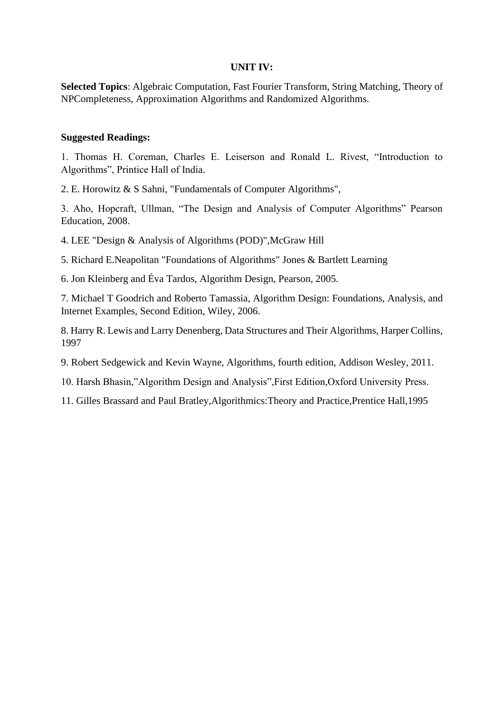#### **UNIT IV:**

**Selected Topics**: Algebraic Computation, Fast Fourier Transform, String Matching, Theory of NPCompleteness, Approximation Algorithms and Randomized Algorithms.

#### **Suggested Readings:**

1. Thomas H. Coreman, Charles E. Leiserson and Ronald L. Rivest, "Introduction to Algorithms", Printice Hall of India.

2. E. Horowitz & S Sahni, "Fundamentals of Computer Algorithms",

3. Aho, Hopcraft, Ullman, "The Design and Analysis of Computer Algorithms" Pearson Education, 2008.

4. LEE "Design & Analysis of Algorithms (POD)",McGraw Hill

5. Richard E.Neapolitan "Foundations of Algorithms" Jones & Bartlett Learning

6. Jon Kleinberg and Éva Tardos, Algorithm Design, Pearson, 2005.

7. Michael T Goodrich and Roberto Tamassia, Algorithm Design: Foundations, Analysis, and Internet Examples, Second Edition, Wiley, 2006.

8. Harry R. Lewis and Larry Denenberg, Data Structures and Their Algorithms, Harper Collins, 1997

9. Robert Sedgewick and Kevin Wayne, Algorithms, fourth edition, Addison Wesley, 2011.

10. Harsh Bhasin,"Algorithm Design and Analysis",First Edition,Oxford University Press.

11. Gilles Brassard and Paul Bratley,Algorithmics:Theory and Practice,Prentice Hall,1995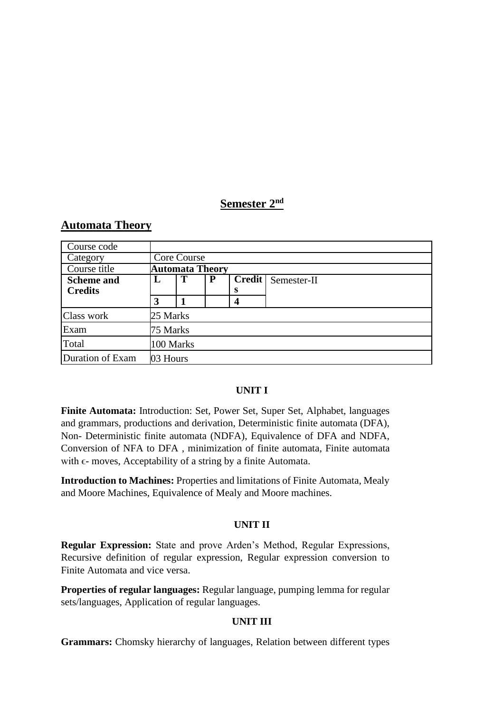# **Semester 2nd**

## **Automata Theory**

| Course code       |             |                        |           |   |                           |  |  |  |  |  |  |
|-------------------|-------------|------------------------|-----------|---|---------------------------|--|--|--|--|--|--|
| Category          | Core Course |                        |           |   |                           |  |  |  |  |  |  |
| Course title      |             | <b>Automata Theory</b> |           |   |                           |  |  |  |  |  |  |
| <b>Scheme and</b> | ι.          | T                      | ${\bf P}$ |   | <b>Credit</b> Semester-II |  |  |  |  |  |  |
| <b>Credits</b>    |             |                        |           | s |                           |  |  |  |  |  |  |
|                   | 3           |                        |           | 4 |                           |  |  |  |  |  |  |
| Class work        | 25 Marks    |                        |           |   |                           |  |  |  |  |  |  |
| Exam              | 75 Marks    |                        |           |   |                           |  |  |  |  |  |  |
| Total             | 100 Marks   |                        |           |   |                           |  |  |  |  |  |  |
| Duration of Exam  | 03 Hours    |                        |           |   |                           |  |  |  |  |  |  |

#### **UNIT I**

**Finite Automata:** Introduction: Set, Power Set, Super Set, Alphabet, languages and grammars, productions and derivation, Deterministic finite automata (DFA), Non- Deterministic finite automata (NDFA), Equivalence of DFA and NDFA, Conversion of NFA to DFA , minimization of finite automata, Finite automata with  $\epsilon$ - moves, Acceptability of a string by a finite Automata.

**Introduction to Machines:** Properties and limitations of Finite Automata, Mealy and Moore Machines, Equivalence of Mealy and Moore machines.

### **UNIT II**

**Regular Expression:** State and prove Arden's Method, Regular Expressions, Recursive definition of regular expression, Regular expression conversion to Finite Automata and vice versa.

**Properties of regular languages:** Regular language, pumping lemma for regular sets/languages, Application of regular languages.

#### **UNIT III**

**Grammars:** Chomsky hierarchy of languages, Relation between different types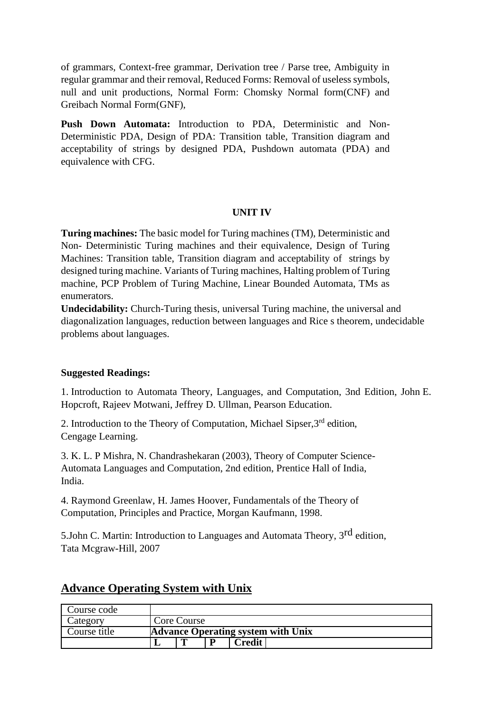of grammars, Context-free grammar, Derivation tree / Parse tree, Ambiguity in regular grammar and their removal, Reduced Forms: Removal of useless symbols, null and unit productions, Normal Form: Chomsky Normal form(CNF) and Greibach Normal Form(GNF),

**Push Down Automata:** Introduction to PDA, Deterministic and Non-Deterministic PDA, Design of PDA: Transition table, Transition diagram and acceptability of strings by designed PDA, Pushdown automata (PDA) and equivalence with CFG.

#### **UNIT IV**

**Turing machines:** The basic model for Turing machines (TM), Deterministic and Non- Deterministic Turing machines and their equivalence, Design of Turing Machines: Transition table, Transition diagram and acceptability of strings by designed turing machine. Variants of Turing machines, Halting problem of Turing machine, PCP Problem of Turing Machine, Linear Bounded Automata, TMs as enumerators.

**Undecidability:** Church-Turing thesis, universal Turing machine, the universal and diagonalization languages, reduction between languages and Rice s theorem, undecidable problems about languages.

#### **Suggested Readings:**

1. Introduction to Automata Theory, Languages, and Computation, 3nd Edition, John E. Hopcroft, Rajeev Motwani, Jeffrey D. Ullman, Pearson Education.

2. Introduction to the Theory of Computation, Michael Sipser,  $3<sup>rd</sup>$  edition, Cengage Learning.

3. K. L. P Mishra, N. Chandrashekaran (2003), Theory of Computer Science-Automata Languages and Computation, 2nd edition, Prentice Hall of India, India.

4. Raymond Greenlaw, H. James Hoover, Fundamentals of the Theory of Computation, Principles and Practice, Morgan Kaufmann, 1998.

5.John C. Martin: Introduction to Languages and Automata Theory, 3<sup>rd</sup> edition, Tata Mcgraw-Hill, 2007

| Course code  |             |                                           |   |        |  |  |  |  |  |
|--------------|-------------|-------------------------------------------|---|--------|--|--|--|--|--|
| Category     | Core Course |                                           |   |        |  |  |  |  |  |
| Course title |             | <b>Advance Operating system with Unix</b> |   |        |  |  |  |  |  |
|              |             | m                                         | D | redit> |  |  |  |  |  |

# **Advance Operating System with Unix**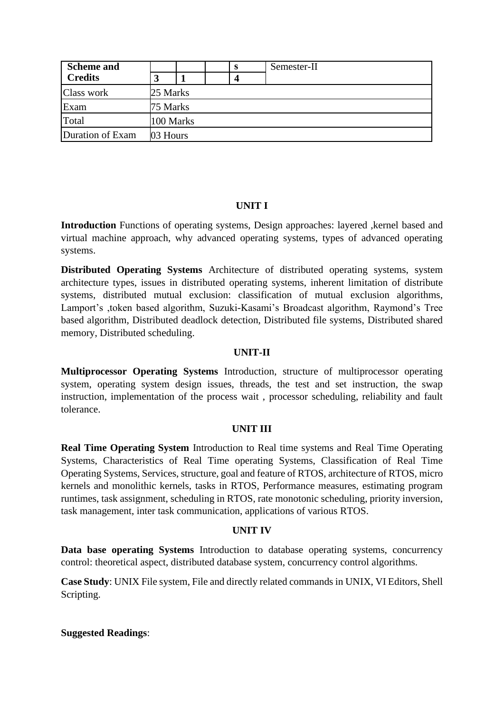| <b>Scheme and</b> |          |           |  | S | Semester-II |
|-------------------|----------|-----------|--|---|-------------|
| <b>Credits</b>    |          |           |  | 4 |             |
| Class work        | 25 Marks |           |  |   |             |
| Exam              |          | 75 Marks  |  |   |             |
| Total             |          | 100 Marks |  |   |             |
| Duration of Exam  | 03 Hours |           |  |   |             |

## **UNIT I**

**Introduction** Functions of operating systems, Design approaches: layered ,kernel based and virtual machine approach, why advanced operating systems, types of advanced operating systems.

**Distributed Operating Systems** Architecture of distributed operating systems, system architecture types, issues in distributed operating systems, inherent limitation of distribute systems, distributed mutual exclusion: classification of mutual exclusion algorithms, Lamport's ,token based algorithm, Suzuki-Kasami's Broadcast algorithm, Raymond's Tree based algorithm, Distributed deadlock detection, Distributed file systems, Distributed shared memory, Distributed scheduling.

### **UNIT-II**

**Multiprocessor Operating Systems** Introduction, structure of multiprocessor operating system, operating system design issues, threads, the test and set instruction, the swap instruction, implementation of the process wait , processor scheduling, reliability and fault tolerance.

### **UNIT III**

**Real Time Operating System** Introduction to Real time systems and Real Time Operating Systems, Characteristics of Real Time operating Systems, Classification of Real Time Operating Systems, Services, structure, goal and feature of RTOS, architecture of RTOS, micro kernels and monolithic kernels, tasks in RTOS, Performance measures, estimating program runtimes, task assignment, scheduling in RTOS, rate monotonic scheduling, priority inversion, task management, inter task communication, applications of various RTOS.

#### **UNIT IV**

**Data base operating Systems** Introduction to database operating systems, concurrency control: theoretical aspect, distributed database system, concurrency control algorithms.

**Case Study**: UNIX File system, File and directly related commands in UNIX, VI Editors, Shell Scripting.

### **Suggested Readings**: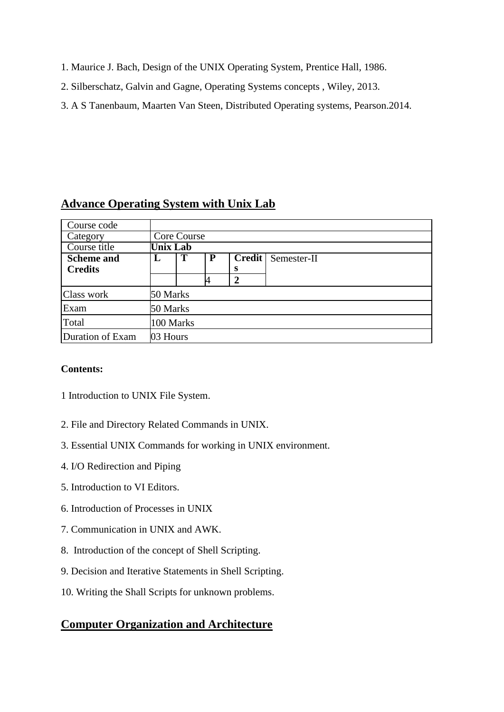- 1. Maurice J. Bach, Design of the UNIX Operating System, Prentice Hall, 1986.
- 2. Silberschatz, Galvin and Gagne, Operating Systems concepts , Wiley, 2013.
- 3. A S Tanenbaum, Maarten Van Steen, Distributed Operating systems, Pearson.2014.

# **Advance Operating System with Unix Lab**

| Course code       |          |                 |   |              |                           |  |  |  |  |  |
|-------------------|----------|-----------------|---|--------------|---------------------------|--|--|--|--|--|
| Category          |          | Core Course     |   |              |                           |  |  |  |  |  |
| Course title      |          | <b>Unix Lab</b> |   |              |                           |  |  |  |  |  |
| <b>Scheme and</b> | L        | Т               | P |              | <b>Credit</b> Semester-II |  |  |  |  |  |
| <b>Credits</b>    |          |                 |   | s            |                           |  |  |  |  |  |
|                   |          |                 |   | $\mathbf{2}$ |                           |  |  |  |  |  |
| Class work        |          | 50 Marks        |   |              |                           |  |  |  |  |  |
| Exam              | 50 Marks |                 |   |              |                           |  |  |  |  |  |
| Total             |          | 100 Marks       |   |              |                           |  |  |  |  |  |
| Duration of Exam  |          | 03 Hours        |   |              |                           |  |  |  |  |  |

#### **Contents:**

- 1 Introduction to UNIX File System.
- 2. File and Directory Related Commands in UNIX.
- 3. Essential UNIX Commands for working in UNIX environment.
- 4. I/O Redirection and Piping
- 5. Introduction to VI Editors.
- 6. Introduction of Processes in UNIX
- 7. Communication in UNIX and AWK.
- 8. Introduction of the concept of Shell Scripting.
- 9. Decision and Iterative Statements in Shell Scripting.
- 10. Writing the Shall Scripts for unknown problems.

# **Computer Organization and Architecture**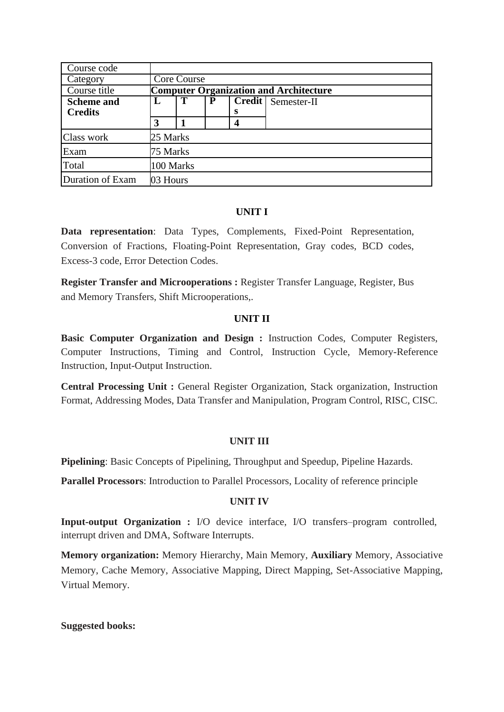| Course code       |          |             |   |   |                                               |  |  |  |  |  |
|-------------------|----------|-------------|---|---|-----------------------------------------------|--|--|--|--|--|
| Category          |          | Core Course |   |   |                                               |  |  |  |  |  |
| Course title      |          |             |   |   | <b>Computer Organization and Architecture</b> |  |  |  |  |  |
| <b>Scheme and</b> | в,       | Т           | P |   | <b>Credit</b>   Semester-II                   |  |  |  |  |  |
| <b>Credits</b>    |          |             |   | s |                                               |  |  |  |  |  |
|                   | 3        |             |   | 4 |                                               |  |  |  |  |  |
| Class work        | 25 Marks |             |   |   |                                               |  |  |  |  |  |
| Exam              | 75 Marks |             |   |   |                                               |  |  |  |  |  |
| Total             |          | 100 Marks   |   |   |                                               |  |  |  |  |  |
| Duration of Exam  | 03 Hours |             |   |   |                                               |  |  |  |  |  |

### **UNIT I**

**Data representation**: Data Types, Complements, Fixed-Point Representation, Conversion of Fractions, Floating-Point Representation, Gray codes, BCD codes, Excess-3 code, Error Detection Codes.

**Register Transfer and Microoperations :** Register Transfer Language, Register, Bus and Memory Transfers, Shift Microoperations,.

#### **UNIT II**

**Basic Computer Organization and Design :** Instruction Codes, Computer Registers, Computer Instructions, Timing and Control, Instruction Cycle, Memory-Reference Instruction, Input-Output Instruction.

**Central Processing Unit :** General Register Organization, Stack organization, Instruction Format, Addressing Modes, Data Transfer and Manipulation, Program Control, RISC, CISC.

#### **UNIT III**

**Pipelining**: Basic Concepts of Pipelining, Throughput and Speedup, Pipeline Hazards.

**Parallel Processors**: Introduction to Parallel Processors, Locality of reference principle

#### **UNIT IV**

**Input-output Organization :** I/O device interface, I/O transfers–program controlled, interrupt driven and DMA, Software Interrupts.

**Memory organization:** Memory Hierarchy, Main Memory, **Auxiliary** Memory, Associative Memory, Cache Memory, Associative Mapping, Direct Mapping, Set-Associative Mapping, Virtual Memory.

#### **Suggested books:**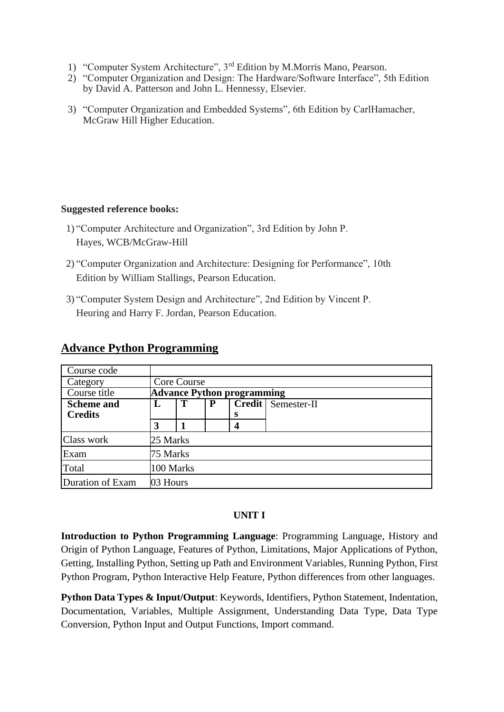- 1) "Computer System Architecture", 3<sup>rd</sup> Edition by M.Morris Mano, Pearson.
- 2) "Computer Organization and Design: The Hardware/Software Interface", 5th Edition by David A. Patterson and John L. Hennessy, Elsevier.
- 3) "Computer Organization and Embedded Systems", 6th Edition by CarlHamacher, McGraw Hill Higher Education.

### **Suggested reference books:**

- 1) "Computer Architecture and Organization", 3rd Edition by John P. Hayes, WCB/McGraw-Hill
- 2) "Computer Organization and Architecture: Designing for Performance", 10th Edition by William Stallings, Pearson Education.
- 3) "Computer System Design and Architecture", 2nd Edition by Vincent P. Heuring and Harry F. Jordan, Pearson Education.

| Course code       |          |             |   |                                   |                           |  |  |  |  |
|-------------------|----------|-------------|---|-----------------------------------|---------------------------|--|--|--|--|
| Category          |          | Core Course |   |                                   |                           |  |  |  |  |
| Course title      |          |             |   | <b>Advance Python programming</b> |                           |  |  |  |  |
| <b>Scheme and</b> | L        | Т           | P |                                   | <b>Credit</b> Semester-II |  |  |  |  |
| <b>Credits</b>    |          |             |   | S                                 |                           |  |  |  |  |
|                   | 3        |             |   | 4                                 |                           |  |  |  |  |
| Class work        | 25 Marks |             |   |                                   |                           |  |  |  |  |
| Exam              | 75 Marks |             |   |                                   |                           |  |  |  |  |
| Total             |          | 100 Marks   |   |                                   |                           |  |  |  |  |
| Duration of Exam  | 03 Hours |             |   |                                   |                           |  |  |  |  |

## **Advance Python Programming**

### **UNIT I**

**Introduction to Python Programming Language**: Programming Language, History and Origin of Python Language, Features of Python, Limitations, Major Applications of Python, Getting, Installing Python, Setting up Path and Environment Variables, Running Python, First Python Program, Python Interactive Help Feature, Python differences from other languages.

**Python Data Types & Input/Output:** Keywords, Identifiers, Python Statement, Indentation, Documentation, Variables, Multiple Assignment, Understanding Data Type, Data Type Conversion, Python Input and Output Functions, Import command.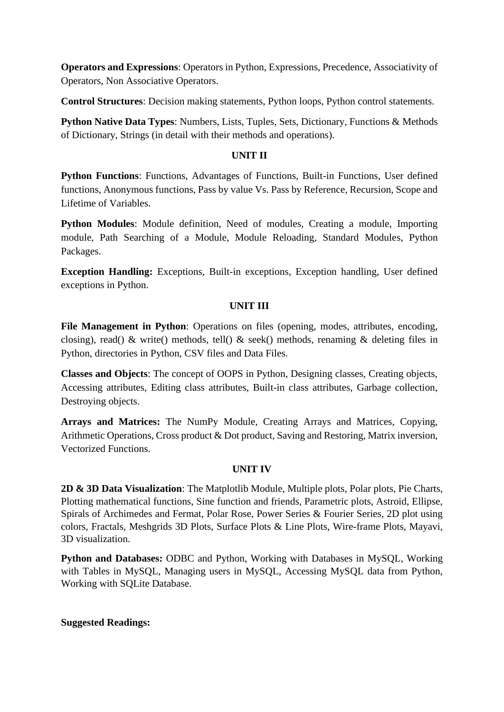**Operators and Expressions**: Operators in Python, Expressions, Precedence, Associativity of Operators, Non Associative Operators.

**Control Structures**: Decision making statements, Python loops, Python control statements.

**Python Native Data Types**: Numbers, Lists, Tuples, Sets, Dictionary, Functions & Methods of Dictionary, Strings (in detail with their methods and operations).

## **UNIT II**

**Python Functions**: Functions, Advantages of Functions, Built-in Functions, User defined functions, Anonymous functions, Pass by value Vs. Pass by Reference, Recursion, Scope and Lifetime of Variables.

**Python Modules**: Module definition, Need of modules, Creating a module, Importing module, Path Searching of a Module, Module Reloading, Standard Modules, Python Packages.

**Exception Handling:** Exceptions, Built-in exceptions, Exception handling, User defined exceptions in Python.

## **UNIT III**

File Management in Python: Operations on files (opening, modes, attributes, encoding, closing), read() & write() methods, tell() & seek() methods, renaming & deleting files in Python, directories in Python, CSV files and Data Files.

**Classes and Objects**: The concept of OOPS in Python, Designing classes, Creating objects, Accessing attributes, Editing class attributes, Built-in class attributes, Garbage collection, Destroying objects.

**Arrays and Matrices:** The NumPy Module, Creating Arrays and Matrices, Copying, Arithmetic Operations, Cross product & Dot product, Saving and Restoring, Matrix inversion, Vectorized Functions.

### **UNIT IV**

**2D & 3D Data Visualization**: The Matplotlib Module, Multiple plots, Polar plots, Pie Charts, Plotting mathematical functions, Sine function and friends, Parametric plots, Astroid, Ellipse, Spirals of Archimedes and Fermat, Polar Rose, Power Series & Fourier Series, 2D plot using colors, Fractals, Meshgrids 3D Plots, Surface Plots & Line Plots, Wire-frame Plots, Mayavi, 3D visualization.

**Python and Databases:** ODBC and Python, Working with Databases in MySQL, Working with Tables in MySQL, Managing users in MySQL, Accessing MySQL data from Python, Working with SQLite Database.

### **Suggested Readings:**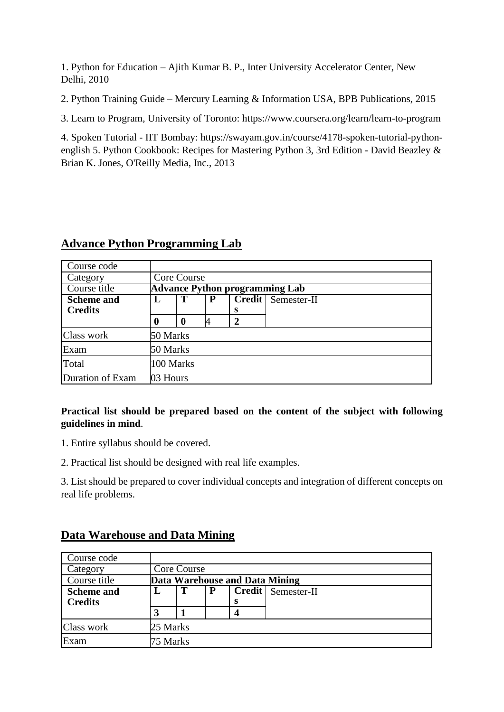1. Python for Education – Ajith Kumar B. P., Inter University Accelerator Center, New Delhi, 2010

2. Python Training Guide – Mercury Learning & Information USA, BPB Publications, 2015

3. Learn to Program, University of Toronto: https://www.coursera.org/learn/learn-to-program

4. Spoken Tutorial - IIT Bombay: https://swayam.gov.in/course/4178-spoken-tutorial-pythonenglish 5. Python Cookbook: Recipes for Mastering Python 3, 3rd Edition - David Beazley & Brian K. Jones, O'Reilly Media, Inc., 2013

| Course code       |          |                                       |   |              |                             |  |  |  |  |  |
|-------------------|----------|---------------------------------------|---|--------------|-----------------------------|--|--|--|--|--|
| Category          |          | Core Course                           |   |              |                             |  |  |  |  |  |
| Course title      |          | <b>Advance Python programming Lab</b> |   |              |                             |  |  |  |  |  |
| <b>Scheme and</b> | L        | Т                                     | P |              | <b>Credit   Semester-II</b> |  |  |  |  |  |
| <b>Credits</b>    |          |                                       |   | s            |                             |  |  |  |  |  |
|                   | 0        | -0                                    |   | $\mathbf{2}$ |                             |  |  |  |  |  |
| Class work        | 50 Marks |                                       |   |              |                             |  |  |  |  |  |
| Exam              | 50 Marks |                                       |   |              |                             |  |  |  |  |  |
| Total             |          | 100 Marks                             |   |              |                             |  |  |  |  |  |
| Duration of Exam  |          | 03 Hours                              |   |              |                             |  |  |  |  |  |

# **Advance Python Programming Lab**

### **Practical list should be prepared based on the content of the subject with following guidelines in mind**.

- 1. Entire syllabus should be covered.
- 2. Practical list should be designed with real life examples.

3. List should be prepared to cover individual concepts and integration of different concepts on real life problems.

# **Data Warehouse and Data Mining**

| Course code       |                                |              |             |                          |                           |  |  |  |
|-------------------|--------------------------------|--------------|-------------|--------------------------|---------------------------|--|--|--|
| Category          | Core Course                    |              |             |                          |                           |  |  |  |
| Course title      | Data Warehouse and Data Mining |              |             |                          |                           |  |  |  |
| <b>Scheme and</b> | L                              | $\mathbf{T}$ | $\mathbf P$ |                          | <b>Credit</b> Semester-II |  |  |  |
| <b>Credits</b>    |                                |              |             | s                        |                           |  |  |  |
|                   |                                |              |             | $\overline{\mathcal{L}}$ |                           |  |  |  |
| Class work        |                                | 25 Marks     |             |                          |                           |  |  |  |
| Exam              |                                | 75 Marks     |             |                          |                           |  |  |  |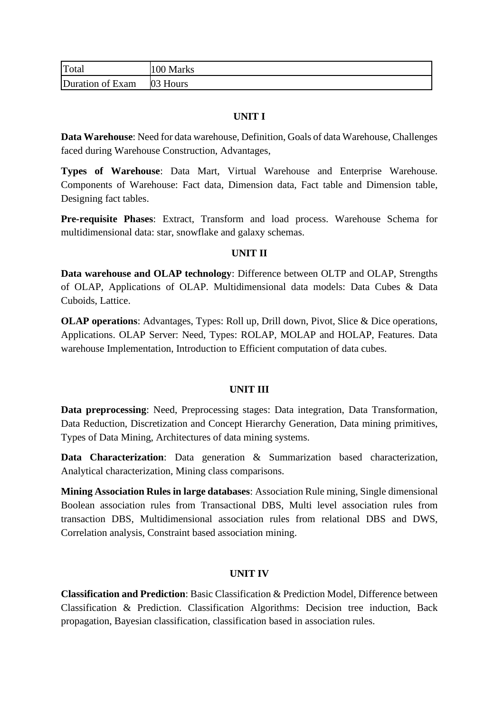| Total            | 100 Marks |
|------------------|-----------|
| Duration of Exam | 03 Hours  |

### **UNIT I**

**Data Warehouse**: Need for data warehouse, Definition, Goals of data Warehouse, Challenges faced during Warehouse Construction, Advantages,

**Types of Warehouse**: Data Mart, Virtual Warehouse and Enterprise Warehouse. Components of Warehouse: Fact data, Dimension data, Fact table and Dimension table, Designing fact tables.

**Pre-requisite Phases**: Extract, Transform and load process. Warehouse Schema for multidimensional data: star, snowflake and galaxy schemas.

#### **UNIT II**

**Data warehouse and OLAP technology**: Difference between OLTP and OLAP, Strengths of OLAP, Applications of OLAP. Multidimensional data models: Data Cubes & Data Cuboids, Lattice.

**OLAP operations**: Advantages, Types: Roll up, Drill down, Pivot, Slice & Dice operations, Applications. OLAP Server: Need, Types: ROLAP, MOLAP and HOLAP, Features. Data warehouse Implementation, Introduction to Efficient computation of data cubes.

#### **UNIT III**

**Data preprocessing**: Need, Preprocessing stages: Data integration, Data Transformation, Data Reduction, Discretization and Concept Hierarchy Generation, Data mining primitives, Types of Data Mining, Architectures of data mining systems.

**Data Characterization**: Data generation & Summarization based characterization, Analytical characterization, Mining class comparisons.

**Mining Association Rules in large databases**: Association Rule mining, Single dimensional Boolean association rules from Transactional DBS, Multi level association rules from transaction DBS, Multidimensional association rules from relational DBS and DWS, Correlation analysis, Constraint based association mining.

#### **UNIT IV**

**Classification and Prediction**: Basic Classification & Prediction Model, Difference between Classification & Prediction. Classification Algorithms: Decision tree induction, Back propagation, Bayesian classification, classification based in association rules.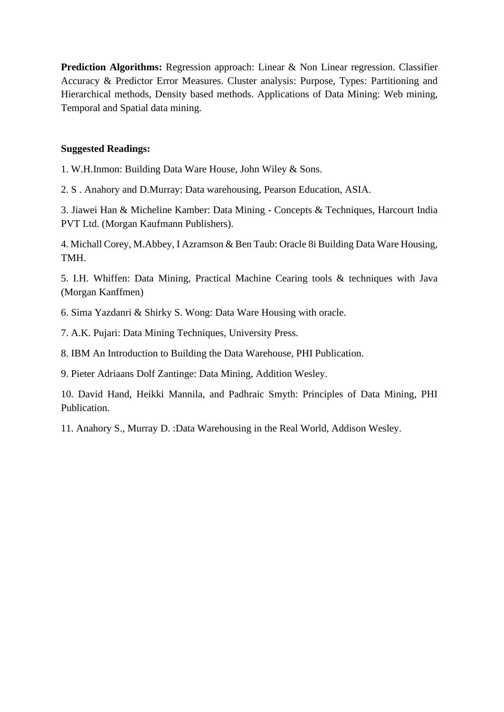**Prediction Algorithms:** Regression approach: Linear & Non Linear regression. Classifier Accuracy & Predictor Error Measures. Cluster analysis: Purpose, Types: Partitioning and Hierarchical methods, Density based methods. Applications of Data Mining: Web mining, Temporal and Spatial data mining.

#### **Suggested Readings:**

1. W.H.Inmon: Building Data Ware House, John Wiley & Sons.

2. S . Anahory and D.Murray: Data warehousing, Pearson Education, ASIA.

3. Jiawei Han & Micheline Kamber: Data Mining - Concepts & Techniques, Harcourt India PVT Ltd. (Morgan Kaufmann Publishers).

4. Michall Corey, M.Abbey, I Azramson & Ben Taub: Oracle 8i Building Data Ware Housing, TMH.

5. I.H. Whiffen: Data Mining, Practical Machine Cearing tools & techniques with Java (Morgan Kanffmen)

6. Sima Yazdanri & Shirky S. Wong: Data Ware Housing with oracle.

7. A.K. Pujari: Data Mining Techniques, University Press.

8. IBM An Introduction to Building the Data Warehouse, PHI Publication.

9. Pieter Adriaans Dolf Zantinge: Data Mining, Addition Wesley.

10. David Hand, Heikki Mannila, and Padhraic Smyth: Principles of Data Mining, PHI Publication.

11. Anahory S., Murray D. :Data Warehousing in the Real World, Addison Wesley.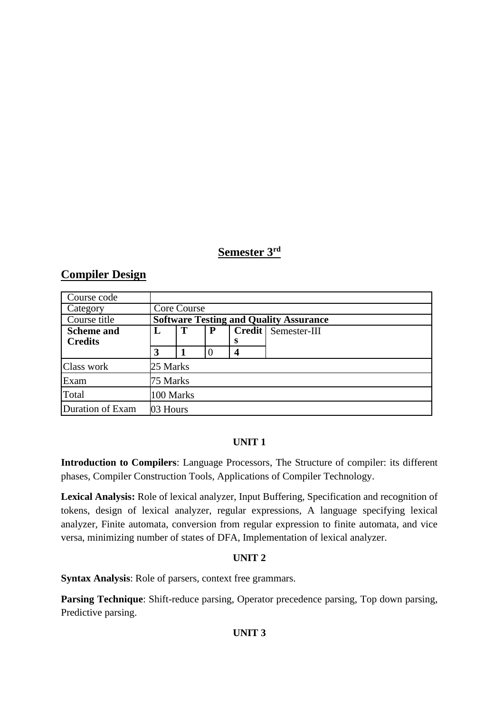# **Semester 3rd**

# **Compiler Design**

| Course code       |          |                                               |          |                  |                            |  |  |  |  |
|-------------------|----------|-----------------------------------------------|----------|------------------|----------------------------|--|--|--|--|
| Category          |          | Core Course                                   |          |                  |                            |  |  |  |  |
| Course title      |          | <b>Software Testing and Quality Assurance</b> |          |                  |                            |  |  |  |  |
| <b>Scheme and</b> | L        | Т                                             | P        |                  | <b>Credit</b> Semester-III |  |  |  |  |
| <b>Credits</b>    |          |                                               |          | s                |                            |  |  |  |  |
|                   | 3        |                                               | $\theta$ | $\boldsymbol{4}$ |                            |  |  |  |  |
| Class work        | 25 Marks |                                               |          |                  |                            |  |  |  |  |
| Exam              | 75 Marks |                                               |          |                  |                            |  |  |  |  |
| Total             |          | 100 Marks                                     |          |                  |                            |  |  |  |  |
| Duration of Exam  | 03 Hours |                                               |          |                  |                            |  |  |  |  |

# **UNIT 1**

**Introduction to Compilers**: Language Processors, The Structure of compiler: its different phases, Compiler Construction Tools, Applications of Compiler Technology.

**Lexical Analysis:** Role of lexical analyzer, Input Buffering, Specification and recognition of tokens, design of lexical analyzer, regular expressions, A language specifying lexical analyzer, Finite automata, conversion from regular expression to finite automata, and vice versa, minimizing number of states of DFA, Implementation of lexical analyzer.

# **UNIT 2**

**Syntax Analysis**: Role of parsers, context free grammars.

Parsing Technique: Shift-reduce parsing, Operator precedence parsing, Top down parsing, Predictive parsing.

### **UNIT 3**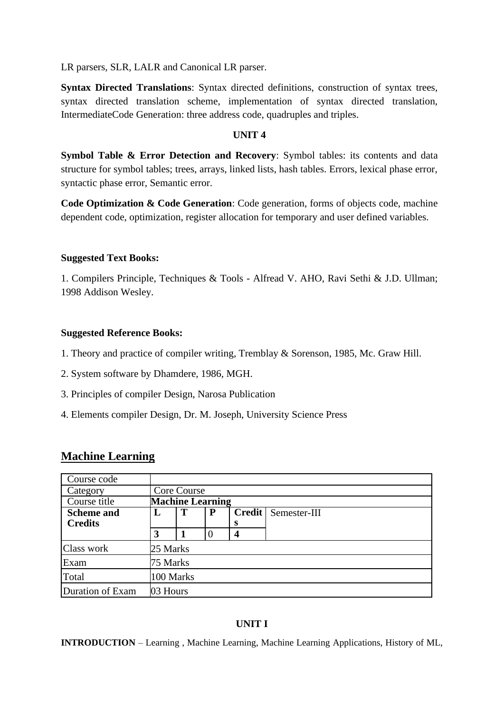LR parsers, SLR, LALR and Canonical LR parser.

**Syntax Directed Translations**: Syntax directed definitions, construction of syntax trees, syntax directed translation scheme, implementation of syntax directed translation, IntermediateCode Generation: three address code, quadruples and triples.

## **UNIT 4**

**Symbol Table & Error Detection and Recovery:** Symbol tables: its contents and data structure for symbol tables; trees, arrays, linked lists, hash tables. Errors, lexical phase error, syntactic phase error, Semantic error.

**Code Optimization & Code Generation**: Code generation, forms of objects code, machine dependent code, optimization, register allocation for temporary and user defined variables.

### **Suggested Text Books:**

1. Compilers Principle, Techniques & Tools - Alfread V. AHO, Ravi Sethi & J.D. Ullman; 1998 Addison Wesley.

### **Suggested Reference Books:**

- 1. Theory and practice of compiler writing, Tremblay & Sorenson, 1985, Mc. Graw Hill.
- 2. System software by Dhamdere, 1986, MGH.
- 3. Principles of compiler Design, Narosa Publication
- 4. Elements compiler Design, Dr. M. Joseph, University Science Press

# **Machine Learning**

| Course code       |          |             |                         |               |              |  |  |  |  |  |
|-------------------|----------|-------------|-------------------------|---------------|--------------|--|--|--|--|--|
| Category          |          | Core Course |                         |               |              |  |  |  |  |  |
| Course title      |          |             | <b>Machine Learning</b> |               |              |  |  |  |  |  |
| <b>Scheme and</b> | L        | T           | P                       | <b>Credit</b> | Semester-III |  |  |  |  |  |
| <b>Credits</b>    |          |             |                         | S             |              |  |  |  |  |  |
|                   | 3        |             | $\Omega$                | 4             |              |  |  |  |  |  |
| Class work        | 25 Marks |             |                         |               |              |  |  |  |  |  |
| Exam              | 75 Marks |             |                         |               |              |  |  |  |  |  |
| Total             |          | 100 Marks   |                         |               |              |  |  |  |  |  |
| Duration of Exam  |          | 03 Hours    |                         |               |              |  |  |  |  |  |

#### **UNIT I**

**INTRODUCTION** – Learning , Machine Learning, Machine Learning Applications, History of ML,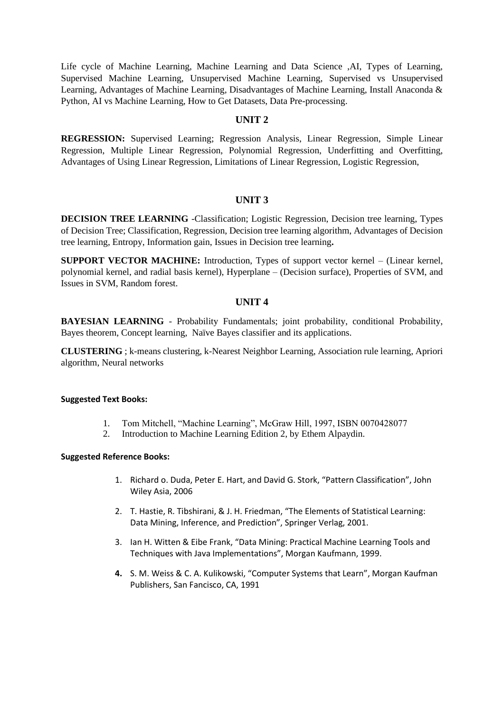Life cycle of Machine Learning, Machine Learning and Data Science ,AI, Types of Learning, Supervised Machine Learning, Unsupervised Machine Learning, Supervised vs Unsupervised Learning, Advantages of Machine Learning, Disadvantages of Machine Learning, Install Anaconda & Python, AI vs Machine Learning, How to Get Datasets, Data Pre-processing.

#### **UNIT 2**

**REGRESSION:** Supervised Learning; Regression Analysis, Linear Regression, Simple Linear Regression, Multiple Linear Regression, Polynomial Regression, Underfitting and Overfitting, Advantages of Using Linear Regression, Limitations of Linear Regression, Logistic Regression,

#### **UNIT 3**

**DECISION TREE LEARNING** -Classification; Logistic Regression, Decision tree learning, Types of Decision Tree; Classification, Regression, Decision tree learning algorithm, Advantages of Decision tree learning, Entropy, Information gain, Issues in Decision tree learning**.**

**SUPPORT VECTOR MACHINE:** Introduction, Types of support vector kernel – (Linear kernel, polynomial kernel, and radial basis kernel), Hyperplane – (Decision surface), Properties of SVM, and Issues in SVM, Random forest.

#### **UNIT 4**

**BAYESIAN LEARNING** - Probability Fundamentals; joint probability, conditional Probability, Bayes theorem, Concept learning, Naïve Bayes classifier and its applications.

**CLUSTERING** ; k-means clustering, k-Nearest Neighbor Learning, Association rule learning, Apriori algorithm, Neural networks

#### **Suggested Text Books:**

- 1. Tom Mitchell, "Machine Learning", McGraw Hill, 1997, ISBN 0070428077
- 2. Introduction to Machine Learning Edition 2, by Ethem Alpaydin.

#### **Suggested Reference Books:**

- 1. Richard o. Duda, Peter E. Hart, and David G. Stork, "Pattern Classification", John Wiley Asia, 2006
- 2. T. Hastie, R. Tibshirani, & J. H. Friedman, "The Elements of Statistical Learning: Data Mining, Inference, and Prediction", Springer Verlag, 2001.
- 3. Ian H. Witten & Eibe Frank, "Data Mining: Practical Machine Learning Tools and Techniques with Java Implementations", Morgan Kaufmann, 1999.
- **4.** S. M. Weiss & C. A. Kulikowski, "Computer Systems that Learn", Morgan Kaufman Publishers, San Fancisco, CA, 1991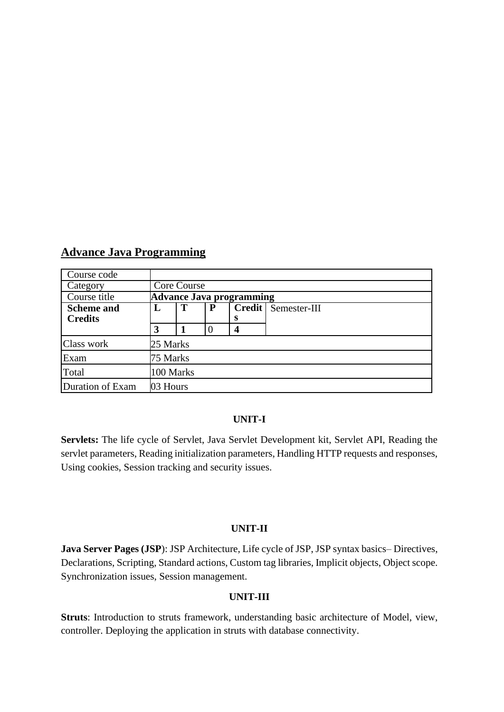# **Advance Java Programming**

| Course code       |          |                                 |          |        |              |  |  |  |  |
|-------------------|----------|---------------------------------|----------|--------|--------------|--|--|--|--|
| Category          |          | Core Course                     |          |        |              |  |  |  |  |
| Course title      |          | <b>Advance Java programming</b> |          |        |              |  |  |  |  |
| <b>Scheme and</b> | Т,       | T                               | P        | Credit | Semester-III |  |  |  |  |
| <b>Credits</b>    |          |                                 |          | s      |              |  |  |  |  |
|                   | 3        |                                 | $\theta$ |        |              |  |  |  |  |
| Class work        | 25 Marks |                                 |          |        |              |  |  |  |  |
| Exam              | 75 Marks |                                 |          |        |              |  |  |  |  |
| Total             |          | 100 Marks                       |          |        |              |  |  |  |  |
| Duration of Exam  | 03 Hours |                                 |          |        |              |  |  |  |  |

#### **UNIT-I**

**Servlets:** The life cycle of Servlet, Java Servlet Development kit, Servlet API, Reading the servlet parameters, Reading initialization parameters, Handling HTTP requests and responses, Using cookies, Session tracking and security issues.

#### **UNIT-II**

**Java Server Pages (JSP**): JSP Architecture, Life cycle of JSP, JSP syntax basics– Directives, Declarations, Scripting, Standard actions, Custom tag libraries, Implicit objects, Object scope. Synchronization issues, Session management.

#### **UNIT-III**

**Struts**: Introduction to struts framework, understanding basic architecture of Model, view, controller. Deploying the application in struts with database connectivity.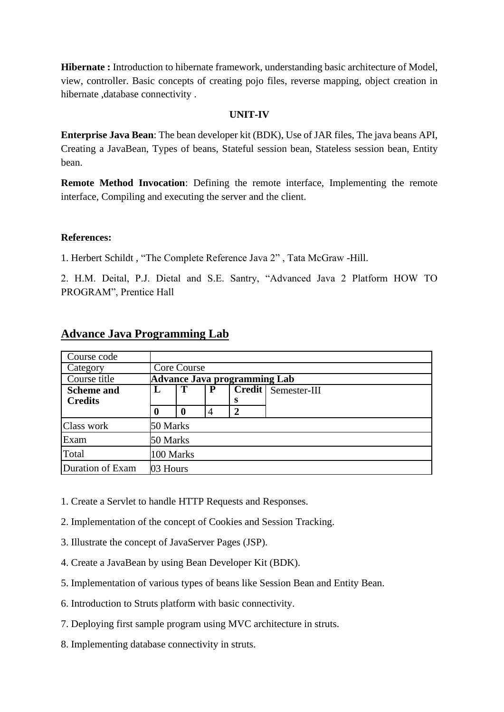**Hibernate :** Introduction to hibernate framework, understanding basic architecture of Model, view, controller. Basic concepts of creating pojo files, reverse mapping, object creation in hibernate ,database connectivity .

#### **UNIT-IV**

**Enterprise Java Bean**: The bean developer kit (BDK), Use of JAR files, The java beans API, Creating a JavaBean, Types of beans, Stateful session bean, Stateless session bean, Entity bean.

**Remote Method Invocation**: Defining the remote interface, Implementing the remote interface, Compiling and executing the server and the client.

### **References:**

1. Herbert Schildt , "The Complete Reference Java 2" , Tata McGraw -Hill.

2. H.M. Deital, P.J. Dietal and S.E. Santry, "Advanced Java 2 Platform HOW TO PROGRAM", Prentice Hall

| Course code       |          |             |   |                              |              |  |  |  |  |  |
|-------------------|----------|-------------|---|------------------------------|--------------|--|--|--|--|--|
| Category          |          | Core Course |   |                              |              |  |  |  |  |  |
| Course title      |          |             |   | Advance Java programming Lab |              |  |  |  |  |  |
| <b>Scheme and</b> | L        | Т           | P | Credit                       | Semester-III |  |  |  |  |  |
| <b>Credits</b>    |          |             |   | s                            |              |  |  |  |  |  |
|                   |          | $\bf{0}$    | 4 | 2                            |              |  |  |  |  |  |
| Class work        | 50 Marks |             |   |                              |              |  |  |  |  |  |
| Exam              | 50 Marks |             |   |                              |              |  |  |  |  |  |
| Total             |          | 100 Marks   |   |                              |              |  |  |  |  |  |
| Duration of Exam  | 03 Hours |             |   |                              |              |  |  |  |  |  |

## **Advance Java Programming Lab**

- 1. Create a Servlet to handle HTTP Requests and Responses.
- 2. Implementation of the concept of Cookies and Session Tracking.
- 3. Illustrate the concept of JavaServer Pages (JSP).
- 4. Create a JavaBean by using Bean Developer Kit (BDK).
- 5. Implementation of various types of beans like Session Bean and Entity Bean.
- 6. Introduction to Struts platform with basic connectivity.
- 7. Deploying first sample program using MVC architecture in struts.
- 8. Implementing database connectivity in struts.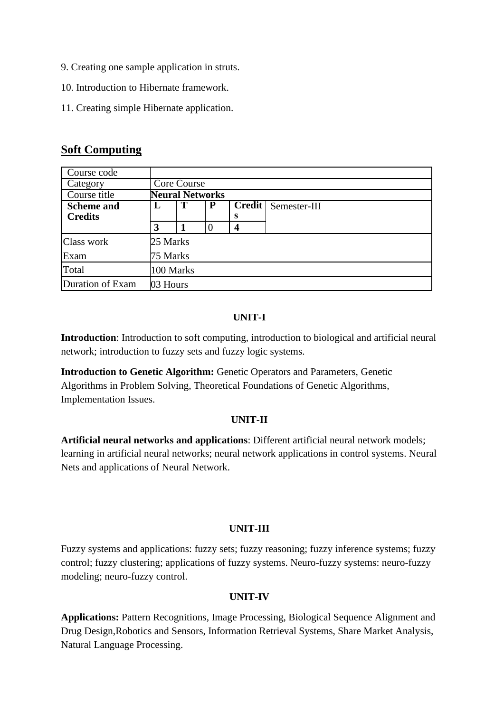- 9. Creating one sample application in struts.
- 10. Introduction to Hibernate framework.
- 11. Creating simple Hibernate application.

# **Soft Computing**

| Course code       |                        |          |   |                         |                            |  |  |  |  |
|-------------------|------------------------|----------|---|-------------------------|----------------------------|--|--|--|--|
| Category          | Core Course            |          |   |                         |                            |  |  |  |  |
| Course title      | <b>Neural Networks</b> |          |   |                         |                            |  |  |  |  |
| <b>Scheme and</b> | п,                     |          | P |                         | <b>Credit</b> Semester-III |  |  |  |  |
| <b>Credits</b>    |                        |          |   | S                       |                            |  |  |  |  |
|                   | 3                      |          | 0 | $\overline{\mathbf{4}}$ |                            |  |  |  |  |
| Class work        |                        | 25 Marks |   |                         |                            |  |  |  |  |
| Exam              |                        | 75 Marks |   |                         |                            |  |  |  |  |
| Total             | 100 Marks              |          |   |                         |                            |  |  |  |  |
| Duration of Exam  | 03 Hours               |          |   |                         |                            |  |  |  |  |

### **UNIT-I**

**Introduction**: Introduction to soft computing, introduction to biological and artificial neural network; introduction to fuzzy sets and fuzzy logic systems.

**Introduction to Genetic Algorithm:** Genetic Operators and Parameters, Genetic Algorithms in Problem Solving, Theoretical Foundations of Genetic Algorithms, Implementation Issues.

#### **UNIT-II**

**Artificial neural networks and applications**: Different artificial neural network models; learning in artificial neural networks; neural network applications in control systems. Neural Nets and applications of Neural Network.

### **UNIT-III**

Fuzzy systems and applications: fuzzy sets; fuzzy reasoning; fuzzy inference systems; fuzzy control; fuzzy clustering; applications of fuzzy systems. Neuro-fuzzy systems: neuro-fuzzy modeling; neuro-fuzzy control.

### **UNIT-IV**

**Applications:** Pattern Recognitions, Image Processing, Biological Sequence Alignment and Drug Design,Robotics and Sensors, Information Retrieval Systems, Share Market Analysis, Natural Language Processing.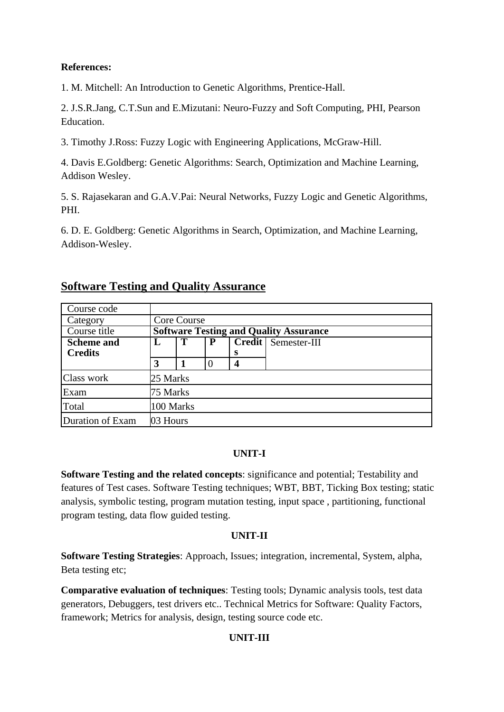## **References:**

1. M. Mitchell: An Introduction to Genetic Algorithms, Prentice-Hall.

2. J.S.R.Jang, C.T.Sun and E.Mizutani: Neuro-Fuzzy and Soft Computing, PHI, Pearson Education.

3. Timothy J.Ross: Fuzzy Logic with Engineering Applications, McGraw-Hill.

4. Davis E.Goldberg: Genetic Algorithms: Search, Optimization and Machine Learning, Addison Wesley.

5. S. Rajasekaran and G.A.V.Pai: Neural Networks, Fuzzy Logic and Genetic Algorithms, PHI.

6. D. E. Goldberg: Genetic Algorithms in Search, Optimization, and Machine Learning, Addison-Wesley.

| Course code       |                                               |   |          |   |                            |  |  |  |
|-------------------|-----------------------------------------------|---|----------|---|----------------------------|--|--|--|
| Category          | Core Course                                   |   |          |   |                            |  |  |  |
| Course title      | <b>Software Testing and Quality Assurance</b> |   |          |   |                            |  |  |  |
| <b>Scheme and</b> |                                               | Т | P        |   | <b>Credit Semester-III</b> |  |  |  |
| <b>Credits</b>    |                                               |   |          | s |                            |  |  |  |
|                   |                                               |   | $\theta$ | 4 |                            |  |  |  |
| Class work        | 25 Marks                                      |   |          |   |                            |  |  |  |
| Exam              | 75 Marks                                      |   |          |   |                            |  |  |  |
| Total             | 100 Marks                                     |   |          |   |                            |  |  |  |
| Duration of Exam  | 03 Hours                                      |   |          |   |                            |  |  |  |

# **Software Testing and Quality Assurance**

### **UNIT-I**

**Software Testing and the related concepts**: significance and potential; Testability and features of Test cases. Software Testing techniques; WBT, BBT, Ticking Box testing; static analysis, symbolic testing, program mutation testing, input space , partitioning, functional program testing, data flow guided testing.

# **UNIT-II**

**Software Testing Strategies**: Approach, Issues; integration, incremental, System, alpha, Beta testing etc;

**Comparative evaluation of techniques**: Testing tools; Dynamic analysis tools, test data generators, Debuggers, test drivers etc.. Technical Metrics for Software: Quality Factors, framework; Metrics for analysis, design, testing source code etc.

# **UNIT-III**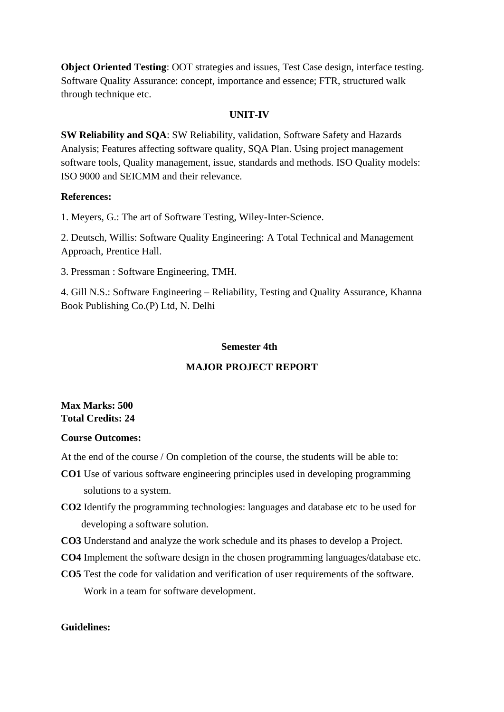**Object Oriented Testing**: OOT strategies and issues, Test Case design, interface testing. Software Quality Assurance: concept, importance and essence; FTR, structured walk through technique etc.

#### **UNIT-IV**

**SW Reliability and SQA**: SW Reliability, validation, Software Safety and Hazards Analysis; Features affecting software quality, SQA Plan. Using project management software tools, Quality management, issue, standards and methods. ISO Quality models: ISO 9000 and SEICMM and their relevance.

#### **References:**

1. Meyers, G.: The art of Software Testing, Wiley-Inter-Science.

2. Deutsch, Willis: Software Quality Engineering: A Total Technical and Management Approach, Prentice Hall.

3. Pressman : Software Engineering, TMH.

4. Gill N.S.: Software Engineering – Reliability, Testing and Quality Assurance, Khanna Book Publishing Co.(P) Ltd, N. Delhi

#### **Semester 4th**

### **MAJOR PROJECT REPORT**

### **Max Marks: 500 Total Credits: 24**

#### **Course Outcomes:**

At the end of the course / On completion of the course, the students will be able to:

- **CO1** Use of various software engineering principles used in developing programming solutions to a system.
- **CO2** Identify the programming technologies: languages and database etc to be used for developing a software solution.
- **CO3** Understand and analyze the work schedule and its phases to develop a Project.
- **CO4** Implement the software design in the chosen programming languages/database etc.
- **CO5** Test the code for validation and verification of user requirements of the software. Work in a team for software development.

### **Guidelines:**